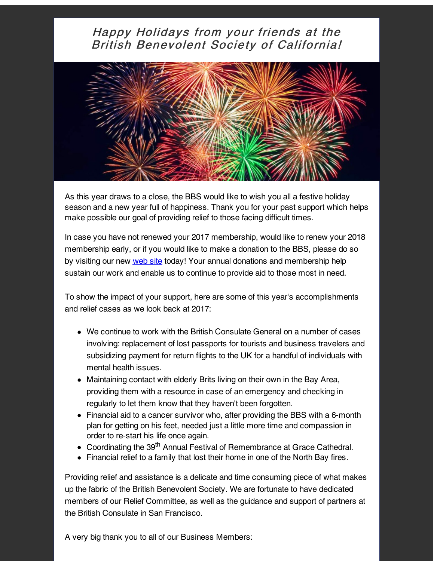## Happy Holidays from your friends at the **British Benevolent Society of California!**



As this year draws to a close, the BBS would like to wish you all a festive holiday season and a new year full of happiness. Thank you for your past support which helps make possible our goal of providing relief to those facing difficult times.

In case you have not renewed your 2017 membership, would like to renew your 2018 membership early, or if you would like to make a donation to the BBS, please do so by visiting our new [web](http://r20.rs6.net/tn.jsp?f=001S4J61UKja6eCh9dU7yf6oJIO5wzgqlN8coaLqRQ478hf8SlCiS61vgO6oqRPf7E7x4rcJMXH-kkMVvNUj0Di4cyx2A3CFu4Q7ytISQ6PAytG1NhMnexSBMgdmOO6KsXWDr17eYncS9t23Jyo5-suumomrE6LVqyxFHG1Zm_UgNI=&c=&ch=) site today! Your annual donations and membership help sustain our work and enable us to continue to provide aid to those most in need.

To show the impact of your support, here are some of this year's accomplishments and relief cases as we look back at 2017:

- We continue to work with the British Consulate General on a number of cases involving: replacement of lost passports for tourists and business travelers and subsidizing payment for return flights to the UK for a handful of individuals with mental health issues.
- Maintaining contact with elderly Brits living on their own in the Bay Area, providing them with a resource in case of an emergency and checking in regularly to let them know that they haven't been forgotten.
- Financial aid to a cancer survivor who, after providing the BBS with a 6-month plan for getting on his feet, needed just a little more time and compassion in order to re-start his life once again.
- Coordinating the 39<sup>th</sup> Annual Festival of Remembrance at Grace Cathedral.
- Financial relief to a family that lost their home in one of the North Bay fires.

Providing relief and assistance is a delicate and time consuming piece of what makes up the fabric of the British Benevolent Society. We are fortunate to have dedicated members of our Relief Committee, as well as the guidance and support of partners at the British Consulate in San Francisco.

A very big thank you to all of our Business Members: